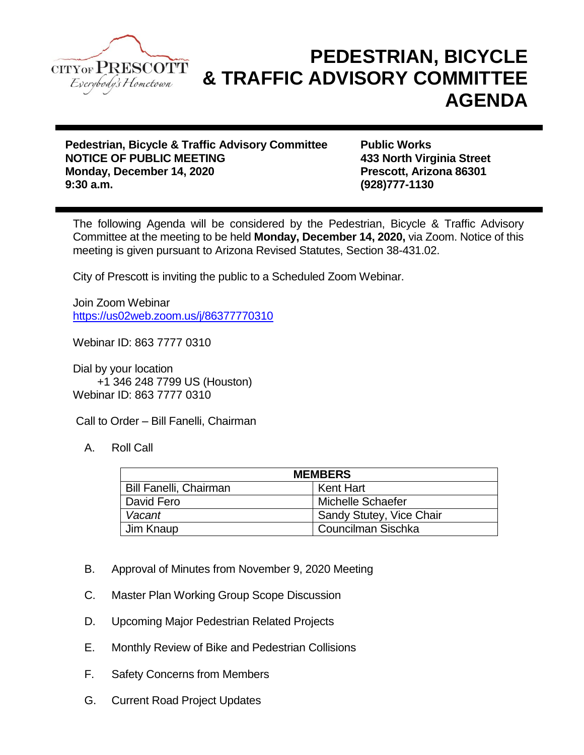

## **PEDESTRIAN, BICYCLE & TRAFFIC ADVISORY COMMITTEE AGENDA**

**Pedestrian, Bicycle & Traffic Advisory Committee Public Works NOTICE OF PUBLIC MEETING 433 North Virginia Street Monday, December 14, 2020 Prescott, Arizona 86301 9:30 a.m. (928)777-1130**

The following Agenda will be considered by the Pedestrian, Bicycle & Traffic Advisory Committee at the meeting to be held **Monday, December 14, 2020,** via Zoom. Notice of this meeting is given pursuant to Arizona Revised Statutes, Section 38-431.02.

City of Prescott is inviting the public to a Scheduled Zoom Webinar.

Join Zoom Webinar <https://us02web.zoom.us/j/86377770310>

Webinar ID: 863 7777 0310

Dial by your location +1 346 248 7799 US (Houston) Webinar ID: 863 7777 0310

Call to Order – Bill Fanelli, Chairman

A. Roll Call

| <b>MEMBERS</b>                |                          |
|-------------------------------|--------------------------|
| <b>Bill Fanelli, Chairman</b> | Kent Hart                |
| David Fero                    | Michelle Schaefer        |
| Vacant                        | Sandy Stutey, Vice Chair |
| Jim Knaup                     | Councilman Sischka       |

- B. Approval of Minutes from November 9, 2020 Meeting
- C. Master Plan Working Group Scope Discussion
- D. Upcoming Major Pedestrian Related Projects
- E. Monthly Review of Bike and Pedestrian Collisions
- F. Safety Concerns from Members
- G. Current Road Project Updates